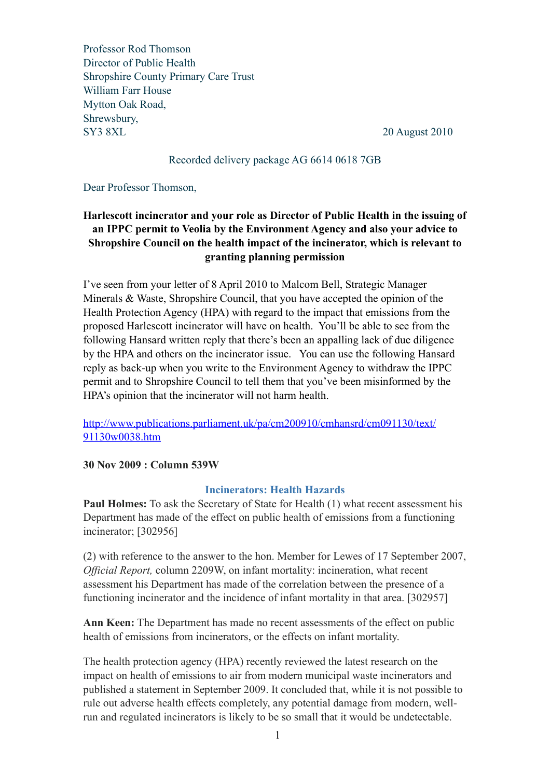Professor Rod Thomson Director of Public Health Shropshire County Primary Care Trust William Farr House Mytton Oak Road, Shrewsbury, SY3 8XL 20 August 2010

### Recorded delivery package AG 6614 0618 7GB

Dear Professor Thomson,

# **Harlescott incinerator and your role as Director of Public Health in the issuing of an IPPC permit to Veolia by the Environment Agency and also your advice to Shropshire Council on the health impact of the incinerator, which is relevant to granting planning permission**

I've seen from your letter of 8 April 2010 to Malcom Bell, Strategic Manager Minerals & Waste, Shropshire Council, that you have accepted the opinion of the Health Protection Agency (HPA) with regard to the impact that emissions from the proposed Harlescott incinerator will have on health. You'll be able to see from the following Hansard written reply that there's been an appalling lack of due diligence by the HPA and others on the incinerator issue. You can use the following Hansard reply as back-up when you write to the Environment Agency to withdraw the IPPC permit and to Shropshire Council to tell them that you've been misinformed by the HPA's opinion that the incinerator will not harm health.

[http://www.publications.parliament.uk/pa/cm200910/cmhansrd/cm091130/text/](http://www.publications.parliament.uk/pa/cm200910/cmhansrd/cm091130/text/91130w0038.htm) [91130w0038.htm](http://www.publications.parliament.uk/pa/cm200910/cmhansrd/cm091130/text/91130w0038.htm)

## **30 Nov 2009 : Column 539W**

#### **Incinerators: Health Hazards**

**Paul Holmes:** To ask the Secretary of State for Health (1) what recent assessment his Department has made of the effect on public health of emissions from a functioning incinerator; [302956]

(2) with reference to the answer to the hon. Member for Lewes of 17 September 2007, *Official Report,* column 2209W, on infant mortality: incineration, what recent assessment his Department has made of the correlation between the presence of a functioning incinerator and the incidence of infant mortality in that area. [302957]

**Ann Keen:** The Department has made no recent assessments of the effect on public health of emissions from incinerators, or the effects on infant mortality.

The health protection agency (HPA) recently reviewed the latest research on the impact on health of emissions to air from modern municipal waste incinerators and published a statement in September 2009. It concluded that, while it is not possible to rule out adverse health effects completely, any potential damage from modern, wellrun and regulated incinerators is likely to be so small that it would be undetectable.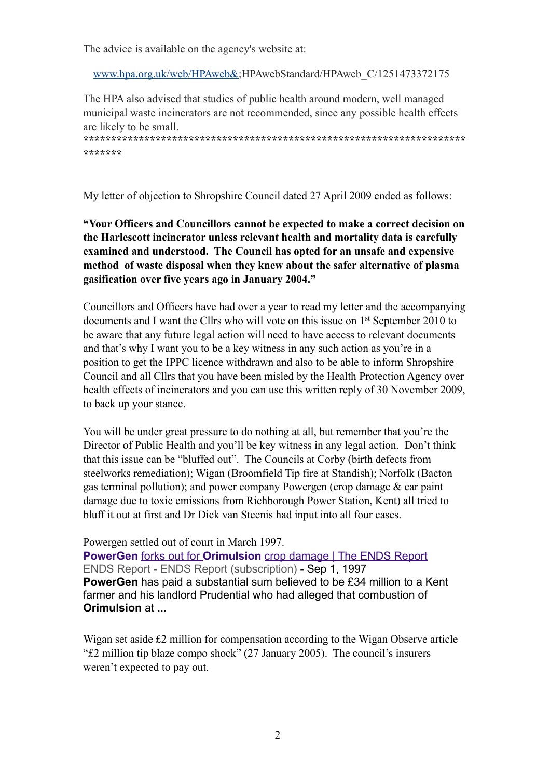The advice is available on the agency's website at:

[www.hpa.org.uk/web/HPAweb&](http://www.hpa.org.uk/web/HPAweb&);HPAwebStandard/HPAweb\_C/1251473372175

The HPA also advised that studies of public health around modern, well managed municipal waste incinerators are not recommended, since any possible health effects are likely to be small.

**\*\*\*\*\*\*\*\*\*\*\*\*\*\*\*\*\*\*\*\*\*\*\*\*\*\*\*\*\*\*\*\*\*\*\*\*\*\*\*\*\*\*\*\*\*\*\*\*\*\*\*\*\*\*\*\*\*\*\*\*\*\*\*\*\*\*\*\*\* \*\*\*\*\*\*\***

My letter of objection to Shropshire Council dated 27 April 2009 ended as follows:

**"Your Officers and Councillors cannot be expected to make a correct decision on the Harlescott incinerator unless relevant health and mortality data is carefully examined and understood. The Council has opted for an unsafe and expensive method of waste disposal when they knew about the safer alternative of plasma gasification over five years ago in January 2004."** 

Councillors and Officers have had over a year to read my letter and the accompanying documents and I want the Cllrs who will vote on this issue on 1st September 2010 to be aware that any future legal action will need to have access to relevant documents and that's why I want you to be a key witness in any such action as you're in a position to get the IPPC licence withdrawn and also to be able to inform Shropshire Council and all Cllrs that you have been misled by the Health Protection Agency over health effects of incinerators and you can use this written reply of 30 November 2009, to back up your stance.

You will be under great pressure to do nothing at all, but remember that you're the Director of Public Health and you'll be key witness in any legal action. Don't think that this issue can be "bluffed out". The Councils at Corby (birth defects from steelworks remediation); Wigan (Broomfield Tip fire at Standish); Norfolk (Bacton gas terminal pollution); and power company Powergen (crop damage & car paint damage due to toxic emissions from Richborough Power Station, Kent) all tried to bluff it out at first and Dr Dick van Steenis had input into all four cases.

Powergen settled out of court in March 1997.

**PowerGen** forks out for **Orimulsion** [crop damage | The ENDS Report](http://www.endsreport.com/4119/powergen-forks-out-for-orimulsion-crop-damage) ENDS Report - ENDS Report (subscription) - Sep 1, 1997 **PowerGen** has paid a substantial sum believed to be £34 million to a Kent farmer and his landlord Prudential who had alleged that combustion of **Orimulsion** at **...**

Wigan set aside £2 million for compensation according to the Wigan Observe article "£2 million tip blaze compo shock" (27 January 2005). The council's insurers weren't expected to pay out.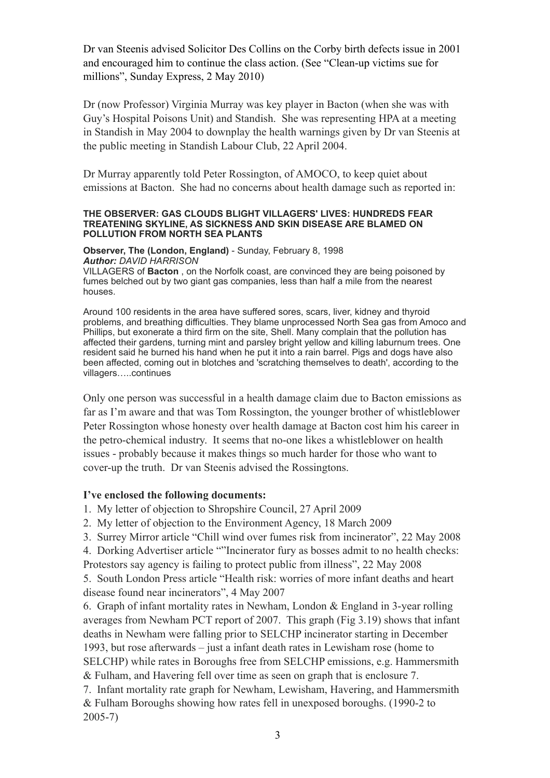Dr van Steenis advised Solicitor Des Collins on the Corby birth defects issue in 2001 and encouraged him to continue the class action. (See "Clean-up victims sue for millions", Sunday Express, 2 May 2010)

Dr (now Professor) Virginia Murray was key player in Bacton (when she was with Guy's Hospital Poisons Unit) and Standish. She was representing HPA at a meeting in Standish in May 2004 to downplay the health warnings given by Dr van Steenis at the public meeting in Standish Labour Club, 22 April 2004.

Dr Murray apparently told Peter Rossington, of AMOCO, to keep quiet about emissions at Bacton. She had no concerns about health damage such as reported in:

#### **THE OBSERVER: GAS CLOUDS BLIGHT VILLAGERS' LIVES: HUNDREDS FEAR TREATENING SKYLINE, AS SICKNESS AND SKIN DISEASE ARE BLAMED ON POLLUTION FROM NORTH SEA PLANTS**

**Observer, The (London, England)** - Sunday, February 8, 1998 *Author: DAVID HARRISON*

VILLAGERS of **Bacton** , on the Norfolk coast, are convinced they are being poisoned by fumes belched out by two giant gas companies, less than half a mile from the nearest houses.

Around 100 residents in the area have suffered sores, scars, liver, kidney and thyroid problems, and breathing difficulties. They blame unprocessed North Sea gas from Amoco and Phillips, but exonerate a third firm on the site, Shell. Many complain that the pollution has affected their gardens, turning mint and parsley bright yellow and killing laburnum trees. One resident said he burned his hand when he put it into a rain barrel. Pigs and dogs have also been affected, coming out in blotches and 'scratching themselves to death', according to the villagers…..continues

Only one person was successful in a health damage claim due to Bacton emissions as far as I'm aware and that was Tom Rossington, the younger brother of whistleblower Peter Rossington whose honesty over health damage at Bacton cost him his career in the petro-chemical industry. It seems that no-one likes a whistleblower on health issues - probably because it makes things so much harder for those who want to cover-up the truth. Dr van Steenis advised the Rossingtons.

#### **I've enclosed the following documents:**

- 1. My letter of objection to Shropshire Council, 27 April 2009
- 2. My letter of objection to the Environment Agency, 18 March 2009
- 3. Surrey Mirror article "Chill wind over fumes risk from incinerator", 22 May 2008

4. Dorking Advertiser article ""Incinerator fury as bosses admit to no health checks: Protestors say agency is failing to protect public from illness", 22 May 2008

5. South London Press article "Health risk: worries of more infant deaths and heart disease found near incinerators", 4 May 2007

6. Graph of infant mortality rates in Newham, London & England in 3-year rolling averages from Newham PCT report of 2007. This graph (Fig 3.19) shows that infant deaths in Newham were falling prior to SELCHP incinerator starting in December 1993, but rose afterwards – just a infant death rates in Lewisham rose (home to SELCHP) while rates in Boroughs free from SELCHP emissions, e.g. Hammersmith & Fulham, and Havering fell over time as seen on graph that is enclosure 7.

7. Infant mortality rate graph for Newham, Lewisham, Havering, and Hammersmith & Fulham Boroughs showing how rates fell in unexposed boroughs. (1990-2 to 2005-7)